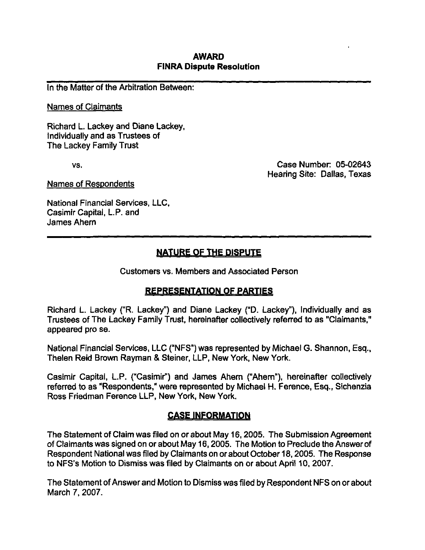### AWARD FINRA Dispute Resolution

In the Matter of the Arbitration Between:

#### Names of Claimants

Richard L. Lackey and Diane Lackey, Individually and as Trustees of The Lackey Family Trust

vs. Case Number: 05-02643 Hearing Site: Dallas, Texas

Names of Respondents

National Financial Services, LLC, Casimir Capital, L.P. and James Ahern

# NATURE OF THE DISPUTE

Customers vs. Members and Associated Person

## REPRESENTATION OF PARTIES

Richard L. Lackey ("R. Lackey") and Diane Lackey ("D. Lackey"), Individually and as Trustees of The Lackey Family Trust, hereinafter collectively referred to as "Claimants," appeared pro se.

National Financial Services, LLC ("NFS") was represented by Michael G. Shannon, Esq., Thelen Reid Brown Rayman & Steiner, LLP, New York, New York.

Casimir Capital, L.P. ("Casimir") and James Ahern ("Ahern"), hereinafter collectively referred to as "Respondents," were represented by Michael H. Ference, Esq., Sichenzia Ross Friedman Ference LLP, New York, New York.

## CASE INFORMATION

The Statement of Claim was filed on or about May 16,2005. The Submission Agreement of Claimants was signed on or about May 16,2005. The Motion to Preclude the Answer of Respondent National was filed by Claimants on or about October 18,2005. The Response to NFS's Motion to Dismiss was filed by Claimants on or about April 10, 2007.

The Statement of Answer and Motion to Dismiss was filed by Respondent NFS on or about March 7, 2007.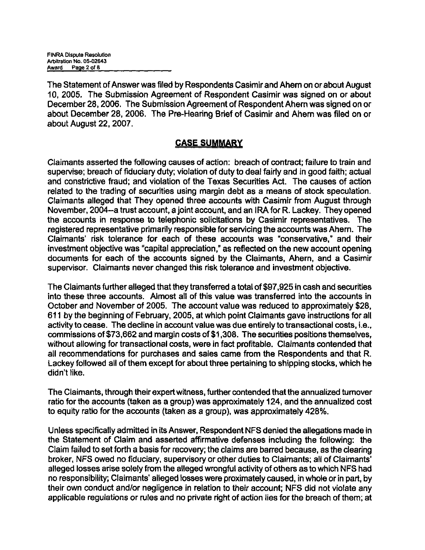The Statement of Answer was filed by Respondents Casimir and Ahern on or about August 10, 2005. The Submission Agreement of Respondent Casimir was signed on or about December 28,2006. The Submission Agreement of Respondent Ahern was signed on or about December 28, 2006. The Pre-Hearing Brief of Casimir and Ahern was filed on or about August 22, 2007.

## CASE SUMMARY

Claimants asserted the following causes of action: breach of contract; failure to train and supervise; breach of fiduciary duty; violation of duty to deal fairly and in good faith; actual and constrictive fraud; and violation of the Texas Securities Act. The causes of action related to the trading of securities using margin debt as a means of stock speculation. Claimants alleged that They opened three accounts with Casimir from August through November, 2004~a trust account, a joint account, and an IRA for R. Lackey. They opened the accounts in response to telephonic solicitations by Casimir representatives. The registered representative primarily responsible for servicing the accounts was Ahern. The Claimants' risk tolerance for each of these accounts was "conservative," and their investment objective was "capital appreciation," as reflected on the new account opening documents for each of the accounts signed by the Claimants, Ahern, and a Casimir supervisor. Claimants never changed this risk tolerance and investment objective.

The Claimants further alleged that they transferred a total of \$97,925 in cash and securities into these three accounts. Almost all of this value was transferred into the accounts in October and November of 2005. The account value was reduced to approximately \$28, 611 by the beginning of February, 2005, at which point Claimants gave instructions for all activity to cease. The decline in account value was due entirely to transactional costs, i.e., commissions of \$73,662 and margin costs of \$1,308. The securities positions themselves, without allowing for transactional costs, were in fact profitable. Claimants contended that all recommendations for purchases and sales came from the Respondents and that R. Lackey followed all of them except for about three pertaining to shipping stocks, which he didn't like.

The Claimants, through their expert witness, further contended that the annualized turnover ratio for the accounts (taken as a group) was approximately 124, and the annualized cost to equity ratio for the accounts (taken as a group), was approximately 428%.

Unless specifically admitted in its Answer, Respondent NFS denied the allegations made in the Statement of Claim and asserted affirmative defenses including the following: the Claim failed to set forth a basis for recovery; the claims are barred because, as the clearing broker, NFS owed no fiduciary, supervisory or other duties to Claimants; all of Claimants' alleged losses arise solely from the alleged wrongful activity of others as to which NFS had no responsibility; Claimants' alleged losses were proximately caused, in whole or in part, by their own conduct and/or negligence in relation to their account; NFS did not violate any applicable regulations or rules and no private right of action lies for the breach of them; at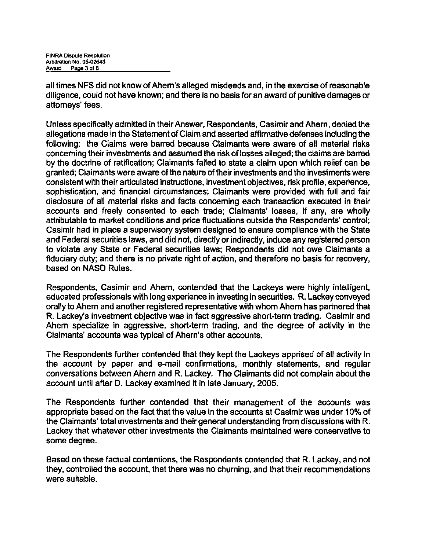all times NFS did not know of Ahern's alleged misdeeds and, in the exercise of reasonable diligence, could not have known; and there is no basis for an award of punitive damages or attorneys' fees.

Unless specifically admitted in their Answer, Respondents, Casimir and Ahern, denied the allegations made in the Statement of Claim and asserted affirmative defenses including the following: the Claims were barred because Claimants were aware of all material risks concerning their investments and assumed the risk of losses alleged; the claims are barred by the doctrine of ratification; Claimants failed to state a claim upon which relief can be granted; Claimants were aware of the nature of their investments and the investments were consistent with their articulated instructions, investment objectives, risk profile, experience, sophistication, and financial circumstances; Claimants were provided with full and fair disclosure of all material risks and facts concerning each transaction executed in their accounts and freely consented to each trade; Claimants' losses, if any, are wholly attributable to market conditions and price fluctuations outside the Respondents' control; Casimir had in place a supervisory system designed to ensure compliance with the State and Federal securities laws, and did not, direcfly or indirectly, induce any registered person to violate any State or Federal securities laws; Respondents did not owe Claimants a fiduciary duty; and there is no private right of action, and therefore no basis for recovery, based on NASD Rules.

Respondents, Casimir and Ahern, contended that the Lackeys were highly intelligent, educated professionals with long experience in investing in securities. R. Lackey conveyed orally to Ahern and another registered representative with whom Ahern has partnered that R. Lackey's investment objective was in fact aggressive short-term trading. Casimir and Ahern specialize in aggressive, short-term trading, and the degree of activity in the Claimants' accounts was typical of Ahern's other accounts.

The Respondents further contended that they kept the Lackeys apprised of all activity in the account by paper and e-mail confirmations, monthly statements, and regular conversations between Ahern and R. Lackey. The Claimants did not complain about the account until after D. Lackey examined it in late January, 2005.

The Respondents further contended that their management of the accounts was appropriate based on the fact that the value in the accounts at Casimir was under 10% of the Claimants' total investments and their general understanding from discussions with R. Lackey that whatever other investments the Claimants maintained were conservative to some degree.

Based on these factual contentions, the Respondents contended that R. Lackey, and not they, controlled the account, that there was no churning, and that their recommendations were suitable.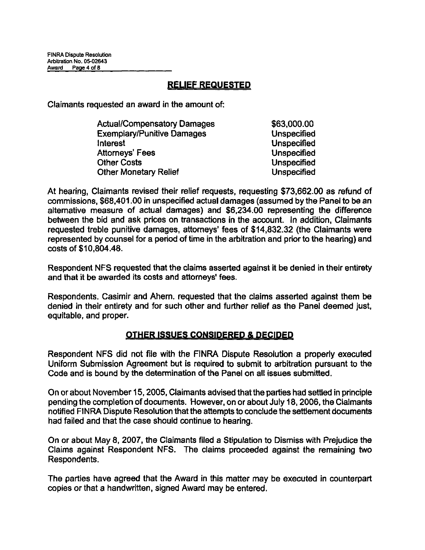## RELIEF REQUESTED

Claimants requested an award in the amount of:

| \$63,000.00        |
|--------------------|
| <b>Unspecified</b> |
| <b>Unspecified</b> |
| <b>Unspecified</b> |
| <b>Unspecified</b> |
| <b>Unspecified</b> |
|                    |

At hearing, Claimants revised their relief requests, requesting \$73,662.00 as refund of commissions, \$68,401.00 in unspecified actual damages (assumed by the Panel to be an alternative measure of actual damages) and \$6,234.00 representing the difference between the bid and ask prices on transactions in the account. In addition, Claimants requested treble punitive damages, attorneys' fees of \$14,832.32 (the Claimants were represented by counsel for a period of time in the arbitration and prior to the hearing) and costs of \$10,804.48.

Respondent NFS requested that the claims asserted against it be denied in their entirety and that it be awarded its costs and attorneys' fees.

Respondents. Casimir and Ahern. requested that the claims asserted against them be denied in their entirety and for such other and further relief as the Panel deemed just, equitable, and proper.

### OTHER ISSUES CONSIDERED & DECIDED

Respondent NFS did not file with the FINRA Dispute Resolution a properly executed Uniform Submission Agreement but is required to submit to arbitration pursuant to the Code and is bound by the determination of the Panel on all issues submitted.

On or about November 15,2005, Claimants advised that the parties had settled in principle pending the completion of documents. However, on or about July 18,2006, the Claimants notified FINRA Dispute Resolution that the attempts to conclude the settlement documents had failed and that the case should continue to hearing.

On or about May 8, 2007, the Claimants filed a Stipulation to Dismiss with Prejudice the Claims against Respondent NFS. The claims proceeded against the remaining two Respondents.

The parties have agreed that the Award in this matter may be executed in counterpart copies or that a handwritten, signed Award may be entered.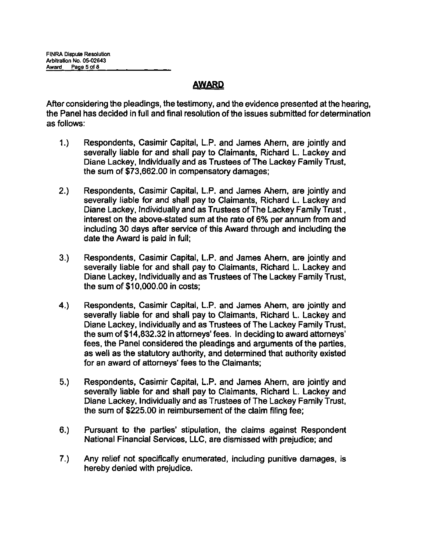## AWARD

After considering the pleadings, the testimony, and the evidence presented at the hearing, the Panel has decided in full and final resolution of the issues submitted for determination as follows:

- 1.) Respondents, Casimir Capital, L.P. and James Ahern, are jointly and severally liable for and shall pay to Claimants, Richard L. Lackey and Diane Lackey, Individually and as Trustees of The Lackey Family Trust, the sum of \$73,662.00 in compensatory damages;
- 2.) Respondents, Casimir Capital, L.P. and James Ahern, are jointly and severally liable for and shall pay to Claimants, Richard L. Lackey and Diane Lackey, Individually and as Trustees of The Lackey Family Trust, interest on the above-stated sum at the rate of 6% per annum from and including 30 days after service of this Award through and including the date the Award is paid in full;
- 3.) Respondents, Casimir Capital, L.P. and James Ahern, are jointly and severally liable for and shall pay to Claimants, Richard L. Lackey and Diane Lackey, Individually and as Trustees of The Lackey Family Trust, the sum of \$10,000.00 in costs;
- 4.) Respondents, Casimir Capital, L.P. and James Ahern, are jointly and severally liable for and shall pay to Claimants, Richard L. Lackey and Diane Lackey, Individually and as Trustees of The Lackey Family Trust, the sum of \$14,832.32 in attorneys' fees. In deciding to award attorneys' fees, the Panel considered the pleadings and arguments of the parties, as well as the statutory authority, and determined that authority existed for an award of attorneys' fees to the Claimants;
- 5.) Respondents, Casimir Capital, L.P. and James Ahern, are jointly and severally liable for and shall pay to Claimants, Richard L. Lackey and Diane Lackey, Individually and as Trustees of The Lackey Family Trust, the sum of \$225.00 in reimbursement of the claim filing fee;
- 6.) Pursuant to the parties' stipulation, the claims against Respondent National Financial Services, LLC, are dismissed with prejudice; and
- 7.) Any relief not specifically enumerated, including punitive damages, is hereby denied with prejudice.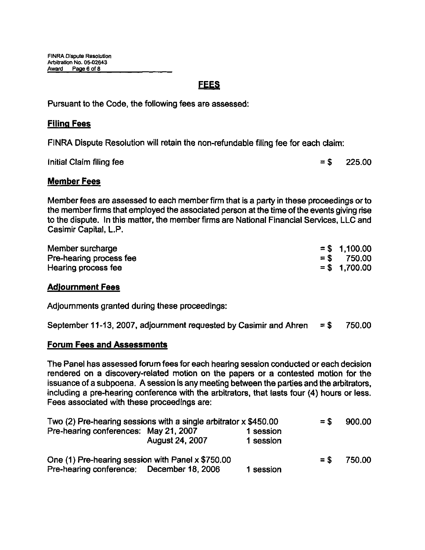## FEES

Pursuant to the Code, the following fees are assessed:

#### Filing Fees

FINRA Dispute Resolution will retain the non-refundable filing fee for each claim:

Initial Claim filing fee  $= $$  225.00

#### Member Fees

Member fees are assessed to each member firm that is a party in these proceedings or to the member firms that employed the associated person at the fime of the events giving rise to the dispute. In this matter, the member firms are National Financial Services, LLC and Casimir Capital, L.P.

| Member surcharge        | $=$ \$ 1,100.00 |
|-------------------------|-----------------|
| Pre-hearing process fee | $=$ \$ 750.00   |
| Hearing process fee     | $=$ \$ 1,700.00 |

#### Adjournment Fees

Adjournments granted during these proceedings:

|  |  |  | September 11-13, 2007, adjournment requested by Casimir and Ahren $= $$ 750.00 |  |  |
|--|--|--|--------------------------------------------------------------------------------|--|--|
|--|--|--|--------------------------------------------------------------------------------|--|--|

#### Forum Fees and Assessments

The Panel has assessed forum fees for each hearing session conducted or each decision rendered on a discovery-related motion on the papers or a contested motion for the issuance of a subpoena. A session is any meeting between the parties and the arbitrators, including a pre-hearing conference with the arbitrators, that lasts four (4) hours or less. Fees associated with these proceedings are:

| Two (2) Pre-hearing sessions with a single arbitrator x \$450.00 |                 |           |       | 900.00 |
|------------------------------------------------------------------|-----------------|-----------|-------|--------|
| Pre-hearing conferences: May 21, 2007                            |                 | 1 session |       |        |
|                                                                  | August 24, 2007 | 1 session |       |        |
| One (1) Pre-hearing session with Panel x \$750.00                |                 |           | $=$ S | 750.00 |
| Pre-hearing conference: December 18, 2006                        |                 | 1 session |       |        |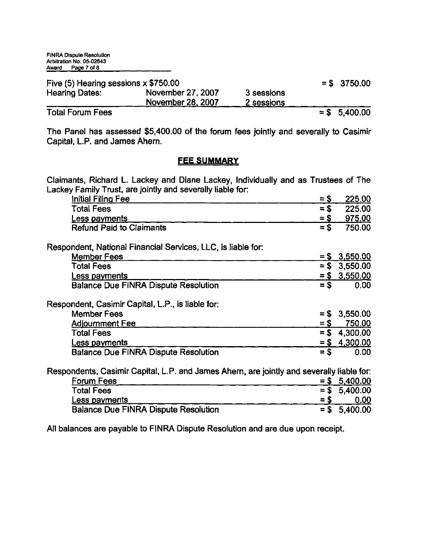| Five (5) Hearing sessions x \$750.00 |                                                |                          | $=$ \$ 3750.00 |
|--------------------------------------|------------------------------------------------|--------------------------|----------------|
| <b>Hearing Dates:</b>                | November 27, 2007<br>Nov <u>ember</u> 28, 2007 | 3 sessions<br>2 sessions |                |
|                                      |                                                |                          |                |

Total Forum Fees  $= $ 5,400.00$ 

The Panel has assessed \$5,400.00 of the forum fees joinfly and severally to Casimir Capital, L.P. and James Ahern.

#### **FEE SUMMARY**

Claimants, Richard L. Lackey and Diane Lackey, Individually and as Trustees of The Lackey Family Trust, are joinfly and severally liable for:

| Initial Filing Fee                                                                        | $=$ \$   | 225.00          |
|-------------------------------------------------------------------------------------------|----------|-----------------|
| <b>Total Fees</b>                                                                         | $=$ \$   | 225.00          |
| Less payments                                                                             | $=$ \$   | 975.00          |
| <b>Refund Paid to Claimants</b>                                                           | $=$ \$   | 750.00          |
| Respondent, National Financial Services, LLC, is liable for:                              |          |                 |
| <b>Member Fees</b>                                                                        |          | $=$ \$ 3,550.00 |
| <b>Total Fees</b>                                                                         | $=$ \$   | 3,550.00        |
| Less payments                                                                             |          | $=$ \$ 3,550.00 |
| <b>Balance Due FINRA Dispute Resolution</b>                                               | $=$ \$   | 0.00            |
| Respondent, Casimir Capital, L.P., is liable for:                                         |          |                 |
| <b>Member Fees</b>                                                                        | S<br>$=$ | 3,550.00        |
| Adjournment Fee                                                                           | $=$ \$   | 750.00          |
| <b>Total Fees</b>                                                                         | $=$ \$   | 4,300.00        |
| Less payments                                                                             | $= 5$    | 4,300.00        |
| <b>Balance Due FINRA Dispute Resolution</b>                                               | $=$ \$   | 0.00            |
| Respondents, Casimir Capital, L.P. and James Ahern, are jointly and severally liable for: |          |                 |
| <b>Forum Fees</b>                                                                         | $= $$    | 5,400.00        |
|                                                                                           | $=$ \$   |                 |
| <b>Total Fees</b>                                                                         |          | 5,400.00        |
| <u>Less payments</u>                                                                      | $= $$    | 0.00            |

All balances are payable to FINRA Dispute Resolution and are due upon receipt.

Balance Due FINRA Dispute Resolution = \$ 5,400.00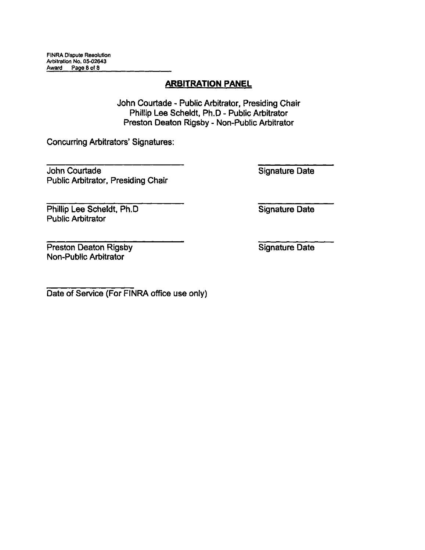John Courtade - Public Arbitrator, Presiding Chair Phillip Lee Scheldt, Ph.D - Public Arbitrator Preston Deaton Rigsby - Non-Public Arbitrator

Concurring Arbitrators' Signatures:

John Courtade Public Arbitrator, Presiding Chair Signature Date

Phillip Lee Scheldt, Ph.D Public Arbitrator

Signature Date

Preston Deaton Rigsby Non-Public Arbitrator

Signature Date

Date of Service (For FINRA office use only)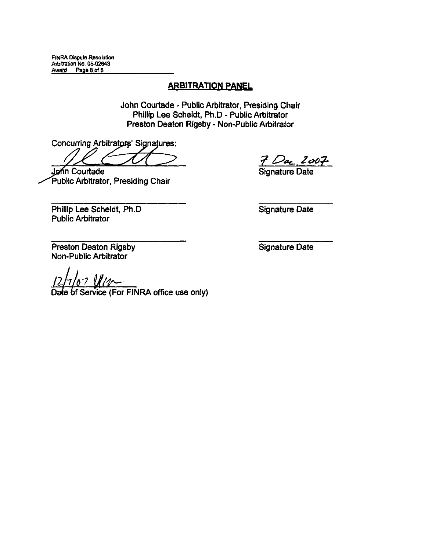John Courtade - Public Arbitrator, Presiding Chair Phillip Lee Scheldt, Ph.D - Public Arbitrator Preston Deaton Rigsby - Non-Public Arbitrator

Concurring Arbitrators' Signatures:

Jonn Courtade Public Arbitrator, Presiding Chair

7 Dac 2007

Phillip Lee Scheldt, Ph.D Public Arbitrator

Signature Date

Preston Deaton Rigsby Non-Public Arbitrator

of the *MA*<br>Service (For FINRA office use only)

Signature Date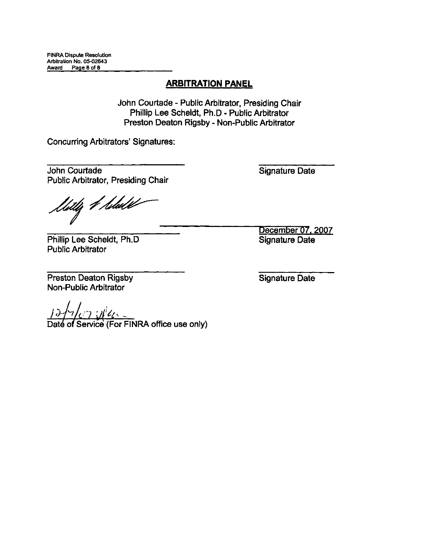John Courtade - Public Arbitrator, Presiding Chair Phillip Lee Scheldt, Ph.D - Public Arbitrator Preston Deaton Rigsby - Non-Public Arbitrator

Concurring Arbitrators' Signatures:

John Courtade Public Arbitrator, Presiding Chair

<sup>1</sup>itlij *4 hu*ldet

Phillip Lee Scheldt, Ph.D Public Arbitrator

Preston Deaton Rigsby Non-Public Arbitrator

Signature Date

 $\frac{C}{2}$   $\frac{C}{2}$   $\frac{C}{2}$   $\frac{C}{2}$   $\frac{C}{2}$   $\frac{C}{2}$  of Service (For FINRA office use only)

Signature Date

December 07, 2007 Signature Date